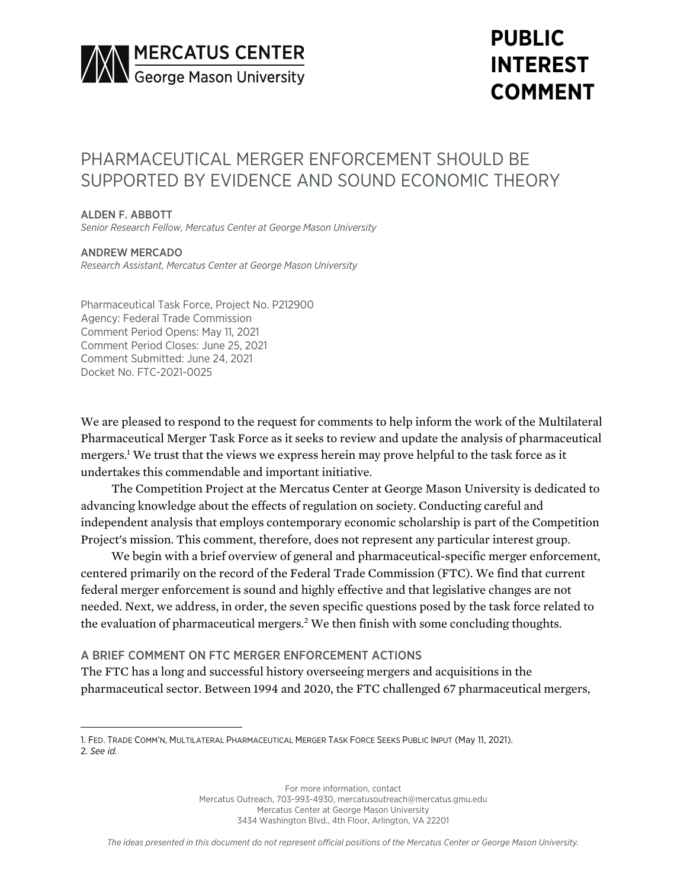

# **PUBLIC INTEREST COMMENT**

## PHARMACFUTICAL MERGER ENFORCEMENT SHOULD BE SUPPORTED BY EVIDENCE AND SOUND ECONOMIC THEORY

#### ALDEN F. ABBOTT

*Senior Research Fellow, Mercatus Center at George Mason University*

## ANDREW MERCADO

*Research Assistant, Mercatus Center at George Mason University*

Pharmaceutical Task Force, Project No. P212900 Agency: Federal Trade Commission Comment Period Opens: May 11, 2021 Comment Period Closes: June 25, 2021 Comment Submitted: June 24, 2021 Docket No. FTC-2021-0025

We are pleased to respond to the request for comments to help inform the work of the Multilateral Pharmaceutical Merger Task Force as it seeks to review and update the analysis of pharmaceutical mergers.<sup>1</sup> We trust that the views we express herein may prove helpful to the task force as it undertakes this commendable and important initiative.

The Competition Project at the Mercatus Center at George Mason University is dedicated to advancing knowledge about the effects of regulation on society. Conducting careful and independent analysis that employs contemporary economic scholarship is part of the Competition Project's mission. This comment, therefore, does not represent any particular interest group.

We begin with a brief overview of general and pharmaceutical-specific merger enforcement, centered primarily on the record of the Federal Trade Commission (FTC). We find that current federal merger enforcement is sound and highly effective and that legislative changes are not needed. Next, we address, in order, the seven specific questions posed by the task force related to the evaluation of pharmaceutical mergers.<sup>2</sup> We then finish with some concluding thoughts.

## A BRIEF COMMENT ON FTC MERGER ENFORCEMENT ACTIONS

The FTC has a long and successful history overseeing mergers and acquisitions in the pharmaceutical sector. Between 1994 and 2020, the FTC challenged 67 pharmaceutical mergers,

<sup>1.</sup> FED. TRADE COMM'N, MULTILATERAL PHARMACEUTICAL MERGER TASK FORCE SEEKS PUBLIC INPUT (May 11, 2021). 2. *See id.*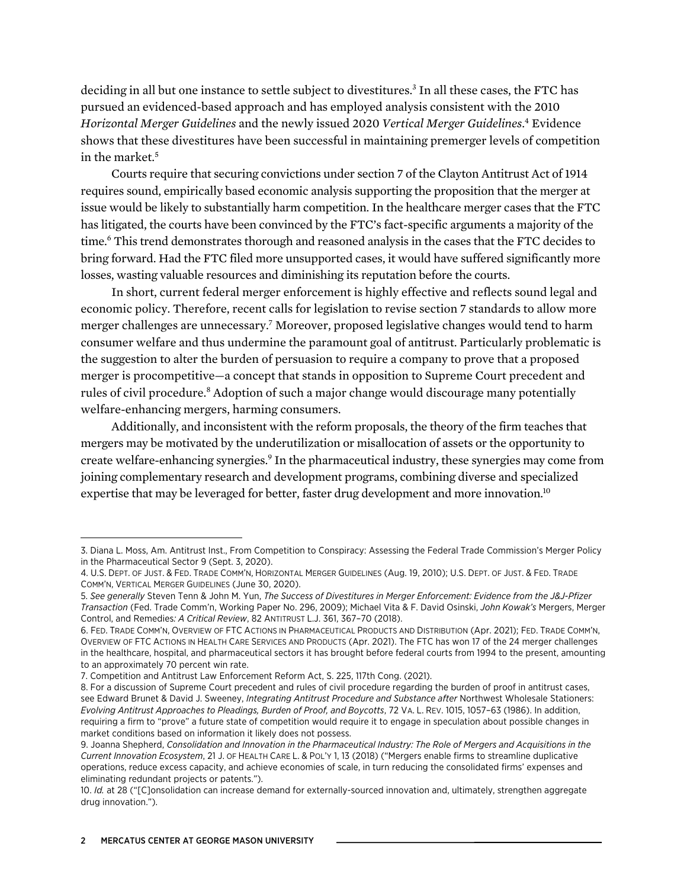deciding in all but one instance to settle subject to divestitures.<sup>3</sup> In all these cases, the FTC has pursued an evidenced-based approach and has employed analysis consistent with the 2010 *Horizontal Merger Guidelines* and the newly issued 2020 *Vertical Merger Guidelines*. <sup>4</sup> Evidence shows that these divestitures have been successful in maintaining premerger levels of competition in the market. 5

Courts require that securing convictions under section 7 of the Clayton Antitrust Act of 1914 requires sound, empirically based economic analysis supporting the proposition that the merger at issue would be likely to substantially harm competition. In the healthcare merger cases that the FTC has litigated, the courts have been convinced by the FTC's fact-specific arguments a majority of the time.<sup>6</sup> This trend demonstrates thorough and reasoned analysis in the cases that the FTC decides to bring forward. Had the FTC filed more unsupported cases, it would have suffered significantly more losses, wasting valuable resources and diminishing its reputation before the courts.

In short, current federal merger enforcement is highly effective and reflects sound legal and economic policy. Therefore, recent calls for legislation to revise section 7 standards to allow more merger challenges are unnecessary.<sup>7</sup> Moreover, proposed legislative changes would tend to harm consumer welfare and thus undermine the paramount goal of antitrust. Particularly problematic is the suggestion to alter the burden of persuasion to require a company to prove that a proposed merger is procompetitive—a concept that stands in opposition to Supreme Court precedent and rules of civil procedure.<sup>8</sup> Adoption of such a major change would discourage many potentially welfare-enhancing mergers, harming consumers.

Additionally, and inconsistent with the reform proposals, the theory of the firm teaches that mergers may be motivated by the underutilization or misallocation of assets or the opportunity to create welfare-enhancing synergies.<sup>9</sup> In the pharmaceutical industry, these synergies may come from joining complementary research and development programs, combining diverse and specialized expertise that may be leveraged for better, faster drug development and more innovation.<sup>10</sup>

<sup>3.</sup> Diana L. Moss, Am. Antitrust Inst., From Competition to Conspiracy: Assessing the Federal Trade Commission's Merger Policy in the Pharmaceutical Sector 9 (Sept. 3, 2020).

<sup>4.</sup> U.S. DEPT. OF JUST. & FED. TRADE COMM'N, HORIZONTAL MERGER GUIDELINES (Aug. 19, 2010); U.S. DEPT. OF JUST. & FED. TRADE COMM'N, VERTICAL MERGER GUIDELINES (June 30, 2020).

<sup>5.</sup> *See generally* Steven Tenn & John M. Yun, *The Success of Divestitures in Merger Enforcement: Evidence from the J&J-Pfizer Transaction* (Fed. Trade Comm'n, Working Paper No. 296, 2009); Michael Vita & F. David Osinski, *John Kowak's* Mergers, Merger Control, and Remedies*: A Critical Review*, 82 ANTITRUST L.J. 361, 367–70 (2018).

<sup>6.</sup> FED. TRADE COMM'N, OVERVIEW OF FTC ACTIONS IN PHARMACEUTICAL PRODUCTS AND DISTRIBUTION (Apr. 2021); FED. TRADE COMM'N, OVERVIEW OF FTC ACTIONS IN HEALTH CARE SERVICES AND PRODUCTS (Apr. 2021). The FTC has won 17 of the 24 merger challenges in the healthcare, hospital, and pharmaceutical sectors it has brought before federal courts from 1994 to the present, amounting to an approximately 70 percent win rate.

<sup>7.</sup> Competition and Antitrust Law Enforcement Reform Act, S. 225, 117th Cong. (2021).

<sup>8.</sup> For a discussion of Supreme Court precedent and rules of civil procedure regarding the burden of proof in antitrust cases, see Edward Brunet & David J. Sweeney, *Integrating Antitrust Procedure and Substance after* Northwest Wholesale Stationers: *Evolving Antitrust Approaches to Pleadings, Burden of Proof, and Boycotts*, 72 VA. L. REV. 1015, 1057–63 (1986). In addition, requiring a firm to "prove" a future state of competition would require it to engage in speculation about possible changes in market conditions based on information it likely does not possess.

<sup>9.</sup> Joanna Shepherd, *Consolidation and Innovation in the Pharmaceutical Industry: The Role of Mergers and Acquisitions in the Current Innovation Ecosystem*, 21 J. OF HEALTH CARE L. & POL'Y 1, 13 (2018) ("Mergers enable firms to streamline duplicative operations, reduce excess capacity, and achieve economies of scale, in turn reducing the consolidated firms' expenses and eliminating redundant projects or patents.").

<sup>10.</sup> *Id.* at 28 ("[C]onsolidation can increase demand for externally-sourced innovation and, ultimately, strengthen aggregate drug innovation.").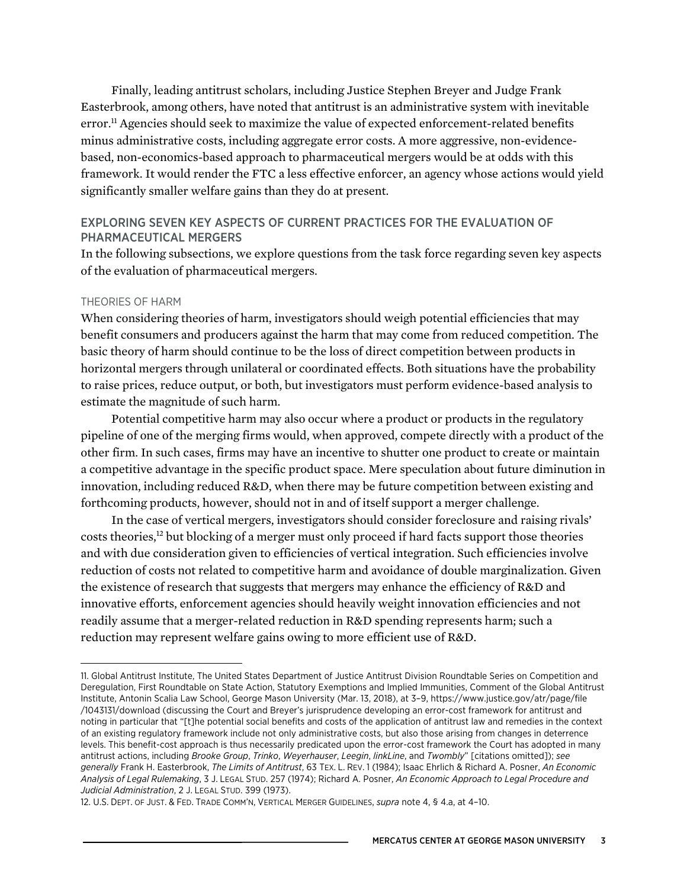Finally, leading antitrust scholars, including Justice Stephen Breyer and Judge Frank Easterbrook, among others, have noted that antitrust is an administrative system with inevitable error.<sup>11</sup> Agencies should seek to maximize the value of expected enforcement-related benefits minus administrative costs, including aggregate error costs. A more aggressive, non-evidencebased, non-economics-based approach to pharmaceutical mergers would be at odds with this framework. It would render the FTC a less effective enforcer, an agency whose actions would yield significantly smaller welfare gains than they do at present.

## EXPLORING SEVEN KEY ASPECTS OF CURRENT PRACTICES FOR THE EVALUATION OF PHARMACEUTICAL MERGERS

In the following subsections, we explore questions from the task force regarding seven key aspects of the evaluation of pharmaceutical mergers.

#### THEORIES OF HARM

When considering theories of harm, investigators should weigh potential efficiencies that may benefit consumers and producers against the harm that may come from reduced competition. The basic theory of harm should continue to be the loss of direct competition between products in horizontal mergers through unilateral or coordinated effects. Both situations have the probability to raise prices, reduce output, or both, but investigators must perform evidence-based analysis to estimate the magnitude of such harm.

Potential competitive harm may also occur where a product or products in the regulatory pipeline of one of the merging firms would, when approved, compete directly with a product of the other firm. In such cases, firms may have an incentive to shutter one product to create or maintain a competitive advantage in the specific product space. Mere speculation about future diminution in innovation, including reduced R&D, when there may be future competition between existing and forthcoming products, however, should not in and of itself support a merger challenge.

In the case of vertical mergers, investigators should consider foreclosure and raising rivals' costs theories,<sup>12</sup> but blocking of a merger must only proceed if hard facts support those theories and with due consideration given to efficiencies of vertical integration. Such efficiencies involve reduction of costs not related to competitive harm and avoidance of double marginalization. Given the existence of research that suggests that mergers may enhance the efficiency of R&D and innovative efforts, enforcement agencies should heavily weight innovation efficiencies and not readily assume that a merger-related reduction in R&D spending represents harm; such a reduction may represent welfare gains owing to more efficient use of R&D.

<sup>11.</sup> Global Antitrust Institute, The United States Department of Justice Antitrust Division Roundtable Series on Competition and Deregulation, First Roundtable on State Action, Statutory Exemptions and Implied Immunities, Comment of the Global Antitrust Institute, Antonin Scalia Law School, George Mason University (Mar. 13, 2018), at 3–9, [https://www.justice.gov/atr/page/file](https://www.justice.gov/atr/page/file/1043131/download) [/1043131/download](https://www.justice.gov/atr/page/file/1043131/download) (discussing the Court and Breyer's jurisprudence developing an error-cost framework for antitrust and noting in particular that "[t]he potential social benefits and costs of the application of antitrust law and remedies in the context of an existing regulatory framework include not only administrative costs, but also those arising from changes in deterrence levels. This benefit-cost approach is thus necessarily predicated upon the error-cost framework the Court has adopted in many antitrust actions, including *Brooke Group*, *Trinko*, *Weyerhauser*, *Leegin*, *linkLine*, and *Twombly*" [citations omitted]); *see generally* Frank H. Easterbrook, *The Limits of Antitrust*, 63 TEX. L. REV. 1 (1984); Isaac Ehrlich & Richard A. Posner, *An Economic Analysis of Legal Rulemaking*, 3 J. LEGAL STUD. 257 (1974); Richard A. Posner, *An Economic Approach to Legal Procedure and Judicial Administration*, 2 J. LEGAL STUD. 399 (1973).

<sup>12.</sup> U.S. DEPT. OF JUST. & FED. TRADE COMM'N, VERTICAL MERGER GUIDELINES, *supra* note 4, § 4.a, at 4–10.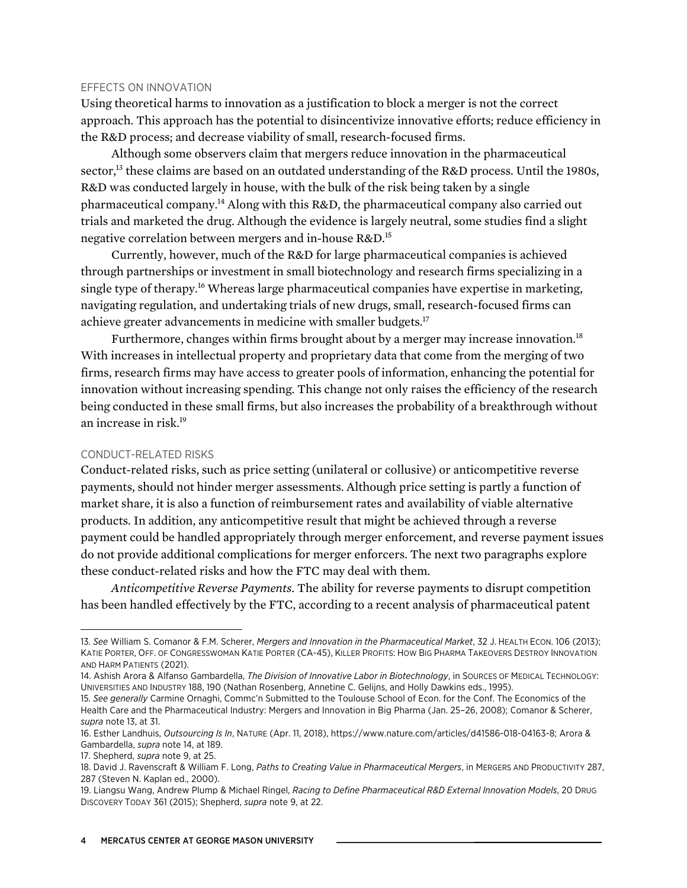#### EFFECTS ON INNOVATION

Using theoretical harms to innovation as a justification to block a merger is not the correct approach. This approach has the potential to disincentivize innovative efforts; reduce efficiency in the R&D process; and decrease viability of small, research-focused firms.

Although some observers claim that mergers reduce innovation in the pharmaceutical sector,<sup>13</sup> these claims are based on an outdated understanding of the R&D process. Until the 1980s, R&D was conducted largely in house, with the bulk of the risk being taken by a single pharmaceutical company.14 Along with this R&D, the pharmaceutical company also carried out trials and marketed the drug. Although the evidence is largely neutral, some studies find a slight negative correlation between mergers and in-house R&D.15

Currently, however, much of the R&D for large pharmaceutical companies is achieved through partnerships or investment in small biotechnology and research firms specializing in a single type of therapy.16 Whereas large pharmaceutical companies have expertise in marketing, navigating regulation, and undertaking trials of new drugs, small, research-focused firms can achieve greater advancements in medicine with smaller budgets.17

Furthermore, changes within firms brought about by a merger may increase innovation.<sup>18</sup> With increases in intellectual property and proprietary data that come from the merging of two firms, research firms may have access to greater pools of information, enhancing the potential for innovation without increasing spending. This change not only raises the efficiency of the research being conducted in these small firms, but also increases the probability of a breakthrough without an increase in risk.19

#### CONDUCT-RELATED RISKS

Conduct-related risks, such as price setting (unilateral or collusive) or anticompetitive reverse payments, should not hinder merger assessments. Although price setting is partly a function of market share, it is also a function of reimbursement rates and availability of viable alternative products. In addition, any anticompetitive result that might be achieved through a reverse payment could be handled appropriately through merger enforcement, and reverse payment issues do not provide additional complications for merger enforcers. The next two paragraphs explore these conduct-related risks and how the FTC may deal with them.

*Anticompetitive Reverse Payments.* The ability for reverse payments to disrupt competition has been handled effectively by the FTC, according to a recent analysis of pharmaceutical patent

<sup>13.</sup> *See* William S. Comanor & F.M. Scherer, *Mergers and Innovation in the Pharmaceutical Market*, 32 J. HEALTH ECON. 106 (2013); KATIE PORTER, OFF. OF CONGRESSWOMAN KATIE PORTER (CA-45), KILLER PROFITS: HOW BIG PHARMA TAKEOVERS DESTROY INNOVATION AND HARM PATIENTS (2021).

<sup>14.</sup> Ashish Arora & Alfanso Gambardella, *The Division of Innovative Labor in Biotechnology*, in SOURCES OF MEDICAL TECHNOLOGY: UNIVERSITIES AND INDUSTRY 188, 190 (Nathan Rosenberg, Annetine C. Gelijns, and Holly Dawkins eds., 1995).

<sup>15.</sup> *See generally* Carmine Ornaghi, Commc'n Submitted to the Toulouse School of Econ. for the Conf. The Economics of the Health Care and the Pharmaceutical Industry: Mergers and Innovation in Big Pharma (Jan. 25–26, 2008); Comanor & Scherer, *supra* note 13, at 31.

<sup>16.</sup> Esther Landhuis, *Outsourcing Is In*, NATURE (Apr. 11, 2018), [https://www.nature.com/articles/d41586-018-04163-8;](https://www.nature.com/articles/d41586-018-04163-8) Arora & Gambardella, *supra* note 14, at 189.

<sup>17.</sup> Shepherd, *supra* note 9, at 25.

<sup>18.</sup> David J. Ravenscraft & William F. Long, *Paths to Creating Value in Pharmaceutical Mergers*, in MERGERS AND PRODUCTIVITY 287, 287 (Steven N. Kaplan ed., 2000).

<sup>19.</sup> Liangsu Wang, Andrew Plump & Michael Ringel, *Racing to Define Pharmaceutical R&D External Innovation Models*, 20 DRUG DISCOVERY TODAY 361 (2015); Shepherd, *supra* note 9, at 22.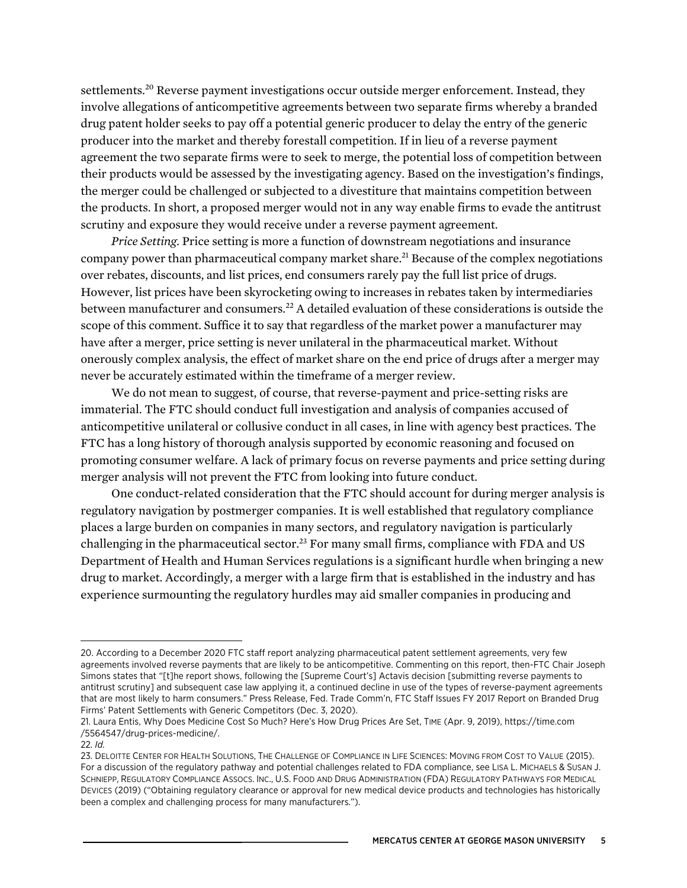settlements.<sup>20</sup> Reverse payment investigations occur outside merger enforcement. Instead, they involve allegations of anticompetitive agreements between two separate firms whereby a branded drug patent holder seeks to pay off a potential generic producer to delay the entry of the generic producer into the market and thereby forestall competition. If in lieu of a reverse payment agreement the two separate firms were to seek to merge, the potential loss of competition between their products would be assessed by the investigating agency. Based on the investigation's findings, the merger could be challenged or subjected to a divestiture that maintains competition between the products. In short, a proposed merger would not in any way enable firms to evade the antitrust scrutiny and exposure they would receive under a reverse payment agreement.

*Price Setting.* Price setting is more a function of downstream negotiations and insurance company power than pharmaceutical company market share.<sup>21</sup> Because of the complex negotiations over rebates, discounts, and list prices, end consumers rarely pay the full list price of drugs. However, list prices have been skyrocketing owing to increases in rebates taken by intermediaries between manufacturer and consumers.<sup>22</sup> A detailed evaluation of these considerations is outside the scope of this comment. Suffice it to say that regardless of the market power a manufacturer may have after a merger, price setting is never unilateral in the pharmaceutical market. Without onerously complex analysis, the effect of market share on the end price of drugs after a merger may never be accurately estimated within the timeframe of a merger review.

We do not mean to suggest, of course, that reverse-payment and price-setting risks are immaterial. The FTC should conduct full investigation and analysis of companies accused of anticompetitive unilateral or collusive conduct in all cases, in line with agency best practices. The FTC has a long history of thorough analysis supported by economic reasoning and focused on promoting consumer welfare. A lack of primary focus on reverse payments and price setting during merger analysis will not prevent the FTC from looking into future conduct.

One conduct-related consideration that the FTC should account for during merger analysis is regulatory navigation by postmerger companies. It is well established that regulatory compliance places a large burden on companies in many sectors, and regulatory navigation is particularly challenging in the pharmaceutical sector.<sup>23</sup> For many small firms, compliance with FDA and US Department of Health and Human Services regulations is a significant hurdle when bringing a new drug to market. Accordingly, a merger with a large firm that is established in the industry and has experience surmounting the regulatory hurdles may aid smaller companies in producing and

<sup>20.</sup> According to a December 2020 FTC staff report analyzing pharmaceutical patent settlement agreements, very few agreements involved reverse payments that are likely to be anticompetitive. Commenting on this report, then-FTC Chair Joseph Simons states that "[t]he report shows, following the [Supreme Court's] Actavis decision [submitting reverse payments to antitrust scrutiny] and subsequent case law applying it, a continued decline in use of the types of reverse-payment agreements that are most likely to harm consumers." Press Release, Fed. Trade Comm'n, FTC Staff Issues FY 2017 Report on Branded Drug Firms' Patent Settlements with Generic Competitors (Dec. 3, 2020).

<sup>21.</sup> Laura Entis, Why Does Medicine Cost So Much? Here's How Drug Prices Are Set, TIME (Apr. 9, 2019), [https://time.com](https://time.com/5564547/drug-prices-medicine/) [/5564547/drug-prices-medicine/](https://time.com/5564547/drug-prices-medicine/).

<sup>22.</sup> *Id.*

<sup>23.</sup> DELOITTE CENTER FOR HEALTH SOLUTIONS, THE CHALLENGE OF COMPLIANCE IN LIFE SCIENCES: MOVING FROM COST TO VALUE (2015). For a discussion of the regulatory pathway and potential challenges related to FDA compliance, see LISA L. MICHAELS & SUSAN J. SCHNIEPP, REGULATORY COMPLIANCE ASSOCS. INC., U.S. FOOD AND DRUG ADMINISTRATION (FDA) REGULATORY PATHWAYS FOR MEDICAL DEVICES (2019) ("Obtaining regulatory clearance or approval for new medical device products and technologies has historically been a complex and challenging process for many manufacturers.").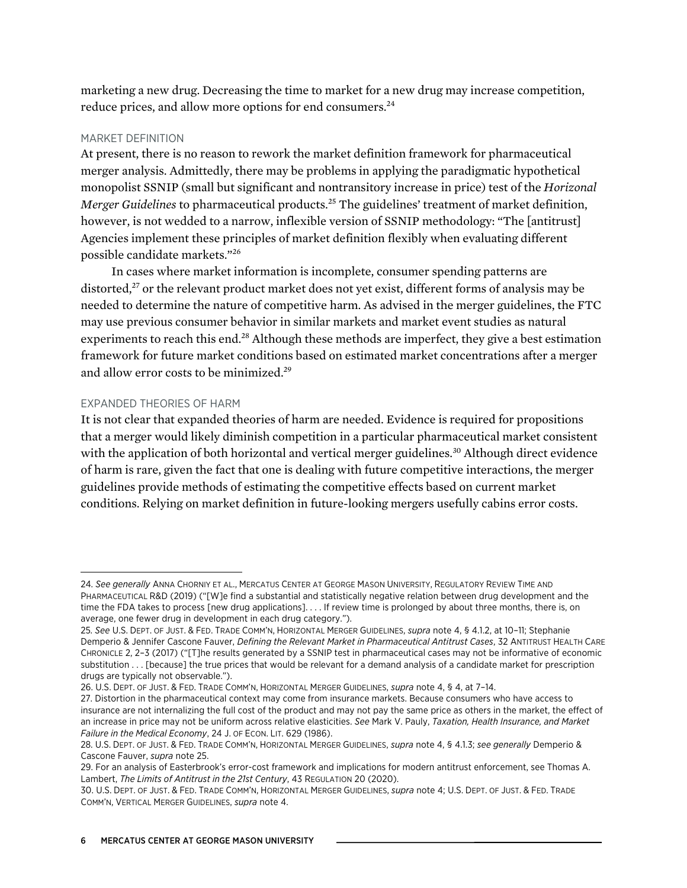marketing a new drug. Decreasing the time to market for a new drug may increase competition, reduce prices, and allow more options for end consumers.<sup>24</sup>

#### MARKET DEFINITION

At present, there is no reason to rework the market definition framework for pharmaceutical merger analysis. Admittedly, there may be problems in applying the paradigmatic hypothetical monopolist SSNIP (small but significant and nontransitory increase in price) test of the *Horizonal Merger Guidelines* to pharmaceutical products.<sup>25</sup> The guidelines' treatment of market definition, however, is not wedded to a narrow, inflexible version of SSNIP methodology: "The [antitrust] Agencies implement these principles of market definition flexibly when evaluating different possible candidate markets."26

In cases where market information is incomplete, consumer spending patterns are distorted,<sup>27</sup> or the relevant product market does not yet exist, different forms of analysis may be needed to determine the nature of competitive harm. As advised in the merger guidelines, the FTC may use previous consumer behavior in similar markets and market event studies as natural experiments to reach this end.<sup>28</sup> Although these methods are imperfect, they give a best estimation framework for future market conditions based on estimated market concentrations after a merger and allow error costs to be minimized.29

#### EXPANDED THEORIES OF HARM

It is not clear that expanded theories of harm are needed. Evidence is required for propositions that a merger would likely diminish competition in a particular pharmaceutical market consistent with the application of both horizontal and vertical merger guidelines.<sup>30</sup> Although direct evidence of harm is rare, given the fact that one is dealing with future competitive interactions, the merger guidelines provide methods of estimating the competitive effects based on current market conditions. Relying on market definition in future-looking mergers usefully cabins error costs.

<sup>24.</sup> *See generally* ANNA CHORNIY ET AL., MERCATUS CENTER AT GEORGE MASON UNIVERSITY, REGULATORY REVIEW TIME AND PHARMACEUTICAL R&D (2019) ("[W]e find a substantial and statistically negative relation between drug development and the time the FDA takes to process [new drug applications]. . . . If review time is prolonged by about three months, there is, on average, one fewer drug in development in each drug category.").

<sup>25.</sup> *See* U.S. DEPT. OF JUST. & FED. TRADE COMM'N, HORIZONTAL MERGER GUIDELINES, *supra* note 4, § 4.1.2, at 10–11; Stephanie Demperio & Jennifer Cascone Fauver, *Defining the Relevant Market in Pharmaceutical Antitrust Cases*, 32 ANTITRUST HEALTH CARE CHRONICLE 2, 2–3 (2017) ("[T]he results generated by a SSNIP test in pharmaceutical cases may not be informative of economic substitution . . . [because] the true prices that would be relevant for a demand analysis of a candidate market for prescription drugs are typically not observable.").

<sup>26.</sup> U.S. DEPT. OF JUST. & FED. TRADE COMM'N, HORIZONTAL MERGER GUIDELINES, *supra* note 4, § 4, at 7–14.

<sup>27.</sup> Distortion in the pharmaceutical context may come from insurance markets. Because consumers who have access to insurance are not internalizing the full cost of the product and may not pay the same price as others in the market, the effect of an increase in price may not be uniform across relative elasticities. *See* Mark V. Pauly, *Taxation, Health Insurance, and Market Failure in the Medical Economy*, 24 J. OF ECON. LIT. 629 (1986).

<sup>28.</sup> U.S. DEPT. OF JUST. & FED. TRADE COMM'N, HORIZONTAL MERGER GUIDELINES, *supra* note 4, § 4.1.3; *see generally* Demperio & Cascone Fauver, *supra* note 25.

<sup>29.</sup> For an analysis of Easterbrook's error-cost framework and implications for modern antitrust enforcement, see Thomas A. Lambert, *The Limits of Antitrust in the 21st Century*, 43 REGULATION 20 (2020).

<sup>30.</sup> U.S. DEPT. OF JUST. & FED. TRADE COMM'N, HORIZONTAL MERGER GUIDELINES, *supra* note 4; U.S. DEPT. OF JUST. & FED. TRADE COMM'N, VERTICAL MERGER GUIDELINES, *supra* note 4.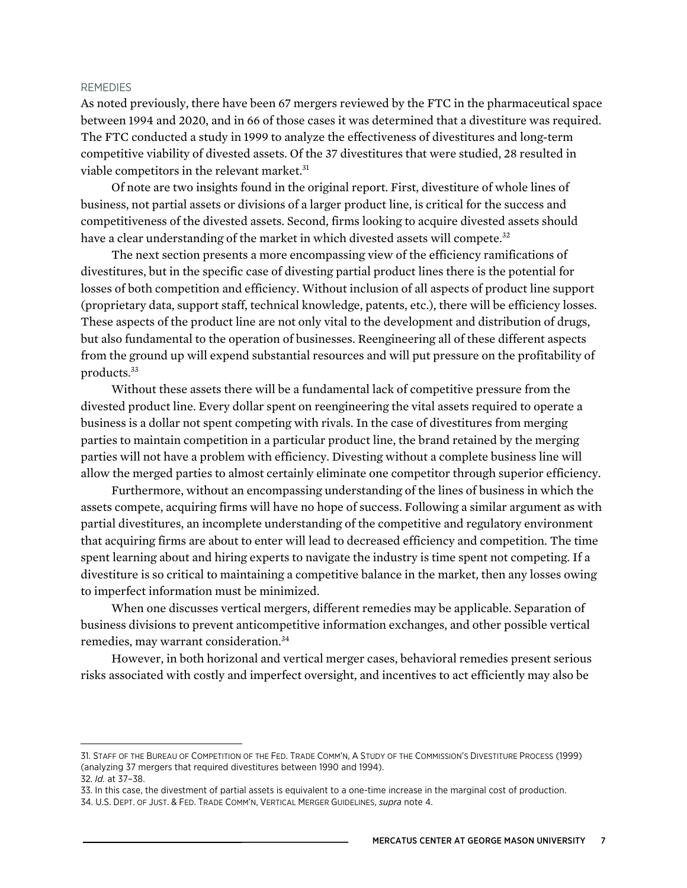#### REMEDIES

As noted previously, there have been 67 mergers reviewed by the FTC in the pharmaceutical space between 1994 and 2020, and in 66 of those cases it was determined that a divestiture was required. The FTC conducted a study in 1999 to analyze the effectiveness of divestitures and long-term competitive viability of divested assets. Of the 37 divestitures that were studied, 28 resulted in viable competitors in the relevant market.<sup>31</sup>

Of note are two insights found in the original report. First, divestiture of whole lines of business, not partial assets or divisions of a larger product line, is critical for the success and competitiveness of the divested assets. Second, firms looking to acquire divested assets should have a clear understanding of the market in which divested assets will compete.<sup>32</sup>

The next section presents a more encompassing view of the efficiency ramifications of divestitures, but in the specific case of divesting partial product lines there is the potential for losses of both competition and efficiency. Without inclusion of all aspects of product line support (proprietary data, support staff, technical knowledge, patents, etc.), there will be efficiency losses. These aspects of the product line are not only vital to the development and distribution of drugs, but also fundamental to the operation of businesses. Reengineering all of these different aspects from the ground up will expend substantial resources and will put pressure on the profitability of products.33

Without these assets there will be a fundamental lack of competitive pressure from the divested product line. Every dollar spent on reengineering the vital assets required to operate a business is a dollar not spent competing with rivals. In the case of divestitures from merging parties to maintain competition in a particular product line, the brand retained by the merging parties will not have a problem with efficiency. Divesting without a complete business line will allow the merged parties to almost certainly eliminate one competitor through superior efficiency.

Furthermore, without an encompassing understanding of the lines of business in which the assets compete, acquiring firms will have no hope of success. Following a similar argument as with partial divestitures, an incomplete understanding of the competitive and regulatory environment that acquiring firms are about to enter will lead to decreased efficiency and competition. The time spent learning about and hiring experts to navigate the industry is time spent not competing. If a divestiture is so critical to maintaining a competitive balance in the market, then any losses owing to imperfect information must be minimized.

When one discusses vertical mergers, different remedies may be applicable. Separation of business divisions to prevent anticompetitive information exchanges, and other possible vertical remedies, may warrant consideration. 34

However, in both horizonal and vertical merger cases, behavioral remedies present serious risks associated with costly and imperfect oversight, and incentives to act efficiently may also be

<sup>31.</sup> STAFF OF THE BUREAU OF COMPETITION OF THE FED. TRADE COMM'N, A STUDY OF THE COMMISSION'S DIVESTITURE PROCESS (1999) (analyzing 37 mergers that required divestitures between 1990 and 1994). 32. *Id.* at 37–38.

<sup>33.</sup> In this case, the divestment of partial assets is equivalent to a one-time increase in the marginal cost of production.

<sup>34.</sup> U.S. DEPT. OF JUST. & FED. TRADE COMM'N, VERTICAL MERGER GUIDELINES, *supra* note 4.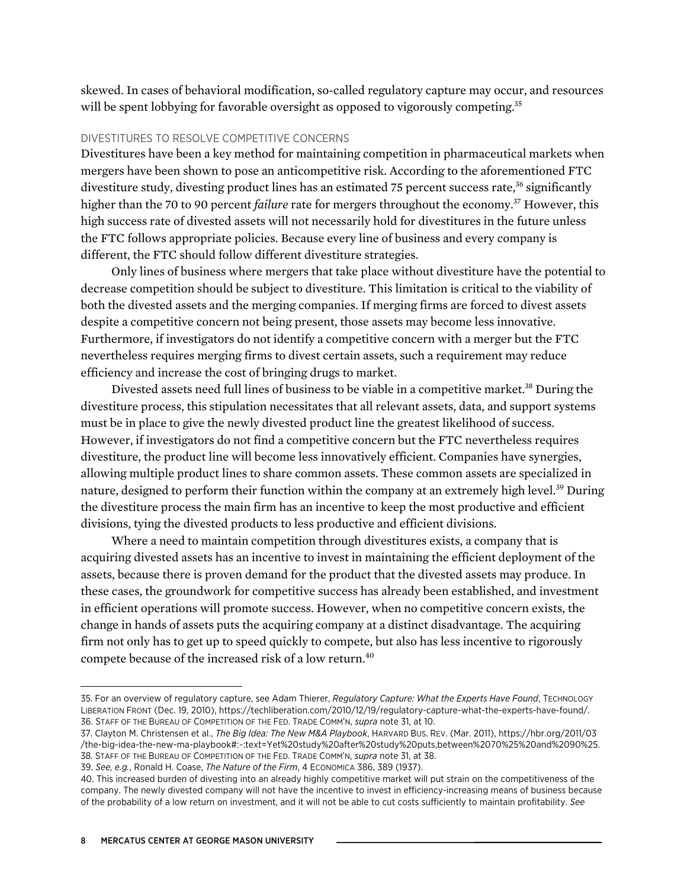skewed. In cases of behavioral modification, so-called regulatory capture may occur, and resources will be spent lobbying for favorable oversight as opposed to vigorously competing.<sup>35</sup>

### DIVESTITURES TO RESOLVE COMPETITIVE CONCERNS

Divestitures have been a key method for maintaining competition in pharmaceutical markets when mergers have been shown to pose an anticompetitive risk. According to the aforementioned FTC divestiture study, divesting product lines has an estimated 75 percent success rate,<sup>36</sup> significantly higher than the 70 to 90 percent *failure* rate for mergers throughout the economy.<sup>37</sup> However, this high success rate of divested assets will not necessarily hold for divestitures in the future unless the FTC follows appropriate policies. Because every line of business and every company is different, the FTC should follow different divestiture strategies.

Only lines of business where mergers that take place without divestiture have the potential to decrease competition should be subject to divestiture. This limitation is critical to the viability of both the divested assets and the merging companies. If merging firms are forced to divest assets despite a competitive concern not being present, those assets may become less innovative. Furthermore, if investigators do not identify a competitive concern with a merger but the FTC nevertheless requires merging firms to divest certain assets, such a requirement may reduce efficiency and increase the cost of bringing drugs to market.

Divested assets need full lines of business to be viable in a competitive market.<sup>38</sup> During the divestiture process, this stipulation necessitates that all relevant assets, data, and support systems must be in place to give the newly divested product line the greatest likelihood of success. However, if investigators do not find a competitive concern but the FTC nevertheless requires divestiture, the product line will become less innovatively efficient. Companies have synergies, allowing multiple product lines to share common assets. These common assets are specialized in nature, designed to perform their function within the company at an extremely high level.<sup>39</sup> During the divestiture process the main firm has an incentive to keep the most productive and efficient divisions, tying the divested products to less productive and efficient divisions.

Where a need to maintain competition through divestitures exists, a company that is acquiring divested assets has an incentive to invest in maintaining the efficient deployment of the assets, because there is proven demand for the product that the divested assets may produce. In these cases, the groundwork for competitive success has already been established, and investment in efficient operations will promote success. However, when no competitive concern exists, the change in hands of assets puts the acquiring company at a distinct disadvantage. The acquiring firm not only has to get up to speed quickly to compete, but also has less incentive to rigorously compete because of the increased risk of a low return.<sup>40</sup>

<sup>35.</sup> For an overview of regulatory capture, see Adam Thierer, *Regulatory Capture: What the Experts Have Found*, TECHNOLOGY LIBERATION FRONT (Dec. 19, 2010), [https://techliberation.com/2010/12/19/regulatory-capture-what-the-experts-have-found/.](https://techliberation.com/2010/12/19/regulatory-capture-what-the-experts-have-found/) 36. STAFF OF THE BUREAU OF COMPETITION OF THE FED. TRADE COMM'N, *supra* note 31, at 10.

<sup>37.</sup> Clayton M. Christensen et al., *The Big Idea: The New M&A Playbook*, HARVARD BUS. REV. (Mar. 2011), [https://hbr.org/2011/03](https://hbr.org/2011/03/the-big-idea-the-new-ma-playbook#:~:text=Yet%20study%20after%20study%20puts,between%2070%25%20and%2090%25) [/the-big-idea-the-new-ma-playbook#:~:text=Yet%20study%20after%20study%20puts,between%2070%25%20and%2090%25](https://hbr.org/2011/03/the-big-idea-the-new-ma-playbook#:~:text=Yet%20study%20after%20study%20puts,between%2070%25%20and%2090%25). 38. STAFF OF THE BUREAU OF COMPETITION OF THE FED. TRADE COMM'N, *supra* note 31, at 38.

<sup>39.</sup> *See, e.g.*, Ronald H. Coase, *The Nature of the Firm*, 4 ECONOMICA 386, 389 (1937).

<sup>40.</sup> This increased burden of divesting into an already highly competitive market will put strain on the competitiveness of the company. The newly divested company will not have the incentive to invest in efficiency-increasing means of business because of the probability of a low return on investment, and it will not be able to cut costs sufficiently to maintain profitability. *See*